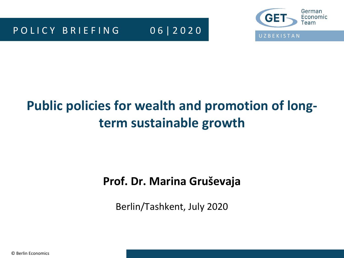

# **Public policies for wealth and promotion of longterm sustainable growth**

### **Prof. Dr. Marina Gruševaja**

Berlin/Tashkent, July 2020

© Berlin Economics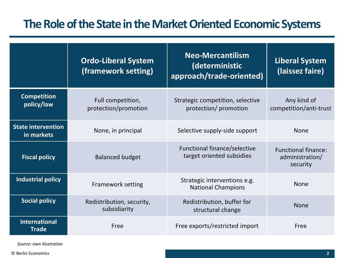### **The Role of the State in the Market Oriented Economic Systems**

|                                         | <b>Ordo-Liberal System</b><br>(framework setting) | <b>Neo-Mercantilism</b><br>(deterministic<br>approach/trade-oriented) | <b>Liberal System</b><br>(laissez faire)                  |
|-----------------------------------------|---------------------------------------------------|-----------------------------------------------------------------------|-----------------------------------------------------------|
| <b>Competition</b><br>policy/law        | Full competition,<br>protection/promotion         | Strategic competition, selective<br>protection/ promotion             | Any kind of<br>competition/anti-trust                     |
| <b>State intervention</b><br>in markets | None, in principal                                | Selective supply-side support                                         | <b>None</b>                                               |
| <b>Fiscal policy</b>                    | <b>Balanced budget</b>                            | Functional finance/selective<br>target oriented subsidies             | <b>Functional finance:</b><br>administration/<br>security |
| Industrial policy                       | <b>Framework setting</b>                          | Strategic interventions e.g.<br><b>National Champions</b>             | <b>None</b>                                               |
| <b>Social policy</b>                    | Redistribution, security,<br>subsidiarity         | Redistribution, buffer for<br>structural change                       | <b>None</b>                                               |
| <b>International</b><br><b>Trade</b>    | Free                                              | Free exports/restricted import                                        | Free                                                      |

*Source: own illustration*

© Berlin Economics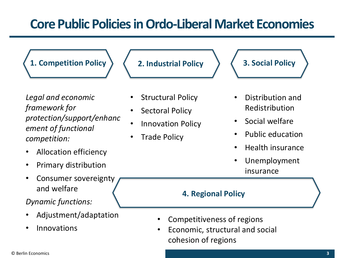# **Core Public Policiesin Ordo-Liberal Market Economies**

**1. Competition Policy 2. Industrial Policy 3. Social Policy**

*Legal and economic framework for protection/support/enhanc ement of functional competition:*

- Allocation efficiency
- Primary distribution
- Consumer sovereignty and welfare

*Dynamic functions:*

- Adjustment/adaptation
- **Innovations**

- Structural Policy
- Sectoral Policy
- Innovation Policy
- **Trade Policy**



- Distribution and Redistribution
- Social welfare
- Public education
- Health insurance
- Unemployment insurance

#### **4. Regional Policy**

- Competitiveness of regions
- Economic, structural and social cohesion of regions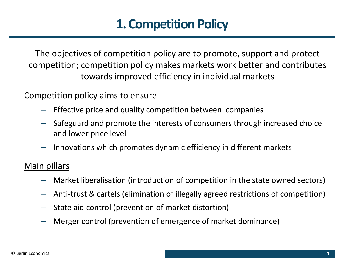# **1. Competition Policy**

The objectives of competition policy are to promote, support and protect competition; competition policy makes markets work better and contributes towards improved efficiency in individual markets

#### Competition policy aims to ensure

- Effective price and quality competition between companies
- Safeguard and promote the interests of consumers through increased choice and lower price level
- Innovations which promotes dynamic efficiency in different markets

#### Main pillars

- Market liberalisation (introduction of competition in the state owned sectors)
- Anti-trust & cartels (elimination of illegally agreed restrictions of competition)
- State aid control (prevention of market distortion)
- Merger control (prevention of emergence of market dominance)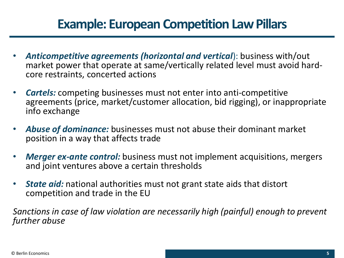## **Example: European Competition Law Pillars**

- *Anticompetitive agreements (horizontal and vertical*): business with/out market power that operate at same/vertically related level must avoid hardcore restraints, concerted actions
- *Cartels:* competing businesses must not enter into anti-competitive agreements (price, market/customer allocation, bid rigging), or inappropriate info exchange
- *Abuse of dominance:* businesses must not abuse their dominant market position in a way that affects trade
- *Merger ex-ante control:* business must not implement acquisitions, mergers and joint ventures above a certain thresholds
- *State aid:* national authorities must not grant state aids that distort competition and trade in the EU

*Sanctions in case of law violation are necessarily high (painful) enough to prevent further abuse*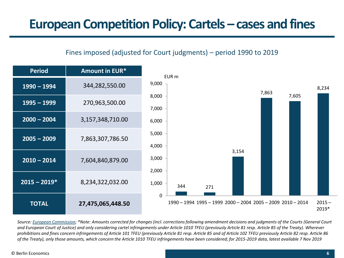#### Fines imposed (adjusted for Court judgments) – period 1990 to 2019



*Source: [European Commission;](https://ec.europa.eu/competition/cartels/statistics/statistics.pdf) \*Note: Amounts corrected for changes (incl. corrections following amendment decisions and judgments of the Courts (General Court and European Court of Justice) and only considering cartel infringements under Article 1010 TFEU (previously Article 81 resp. Article 85 of the Treaty). Wherever prohibitions and fines concern infringements of Article 101 TFEU (previously Article 81 resp. Article 85 and of Article 102 TFEU previously Article 82 resp. Article 86 of the Treaty), only those amounts, which concern the Article 1010 TFEU infringements have been considered; for 2015-2019 data, latest available 7 Nov 2019*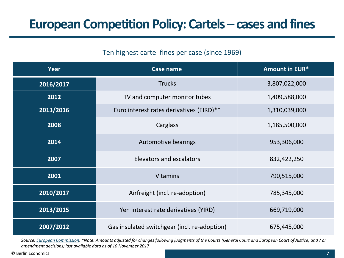#### Ten highest cartel fines per case (since 1969)

| Year      | Case name                                    | <b>Amount in EUR*</b> |
|-----------|----------------------------------------------|-----------------------|
| 2016/2017 | <b>Trucks</b>                                | 3,807,022,000         |
| 2012      | TV and computer monitor tubes                | 1,409,588,000         |
| 2013/2016 | Euro interest rates derivatives (EIRD)**     | 1,310,039,000         |
| 2008      | Carglass                                     | 1,185,500,000         |
| 2014      | Automotive bearings                          | 953,306,000           |
| 2007      | <b>Elevators and escalators</b>              | 832,422,250           |
| 2001      | <b>Vitamins</b>                              | 790,515,000           |
| 2010/2017 | Airfreight (incl. re-adoption)               | 785,345,000           |
| 2013/2015 | Yen interest rate derivatives (YIRD)         | 669,719,000           |
| 2007/2012 | Gas insulated switchgear (incl. re-adoption) | 675,445,000           |

*Source: [European Commission;](https://ec.europa.eu/competition/cartels/statistics/statistics.pdf) \*Note: Amounts adjusted for changes following judgments of the Courts (General Court and European Court of Justice) and / or amendment decisions; last available data as of 10 November 2017*

© Berlin Economics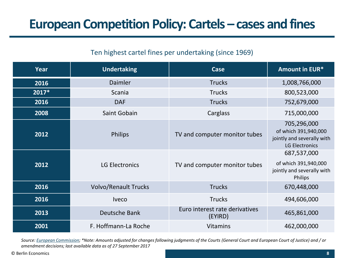#### Ten highest cartel fines per undertaking (since 1969)

| Year  | <b>Undertaking</b>          | Case                                      | <b>Amount in EUR*</b>                                                                      |
|-------|-----------------------------|-------------------------------------------|--------------------------------------------------------------------------------------------|
| 2016  | <b>Daimler</b>              | <b>Trucks</b>                             | 1,008,766,000                                                                              |
| 2017* | Scania                      | <b>Trucks</b>                             | 800,523,000                                                                                |
| 2016  | <b>DAF</b>                  | <b>Trucks</b>                             | 752,679,000                                                                                |
| 2008  | Saint Gobain                | Carglass                                  | 715,000,000                                                                                |
| 2012  | <b>Philips</b>              | TV and computer monitor tubes             | 705,296,000<br>of which 391,940,000<br>jointly and severally with<br><b>LG Electronics</b> |
| 2012  | <b>LG Electronics</b>       | TV and computer monitor tubes             | 687,537,000<br>of which 391,940,000<br>jointly and severally with<br>Philips               |
| 2016  | <b>Volvo/Renault Trucks</b> | <b>Trucks</b>                             | 670,448,000                                                                                |
| 2016  | <b>Iveco</b>                | <b>Trucks</b>                             | 494,606,000                                                                                |
| 2013  | Deutsche Bank               | Euro interest rate derivatives<br>(EYIRD) | 465,861,000                                                                                |
| 2001  | F. Hoffmann-La Roche        | <b>Vitamins</b>                           | 462,000,000                                                                                |

*Source: [European Commission;](https://ec.europa.eu/competition/cartels/statistics/statistics.pdf) \*Note: Amounts adjusted for changes following judgments of the Courts (General Court and European Court of Justice) and / or amendment decisions; last available data as of 27 September 2017*

© Berlin Economics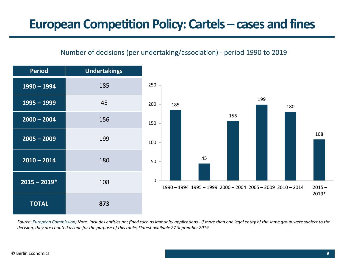#### Number of decisions (per undertaking/association) - period 1990 to 2019



Source: [European Commission;](https://ec.europa.eu/competition/cartels/statistics/statistics.pdf) Note: Includes entities not fined such as immunity applications - if more than one legal entity of the same group were subject to the *decision, they are counted as one for the purpose of this table; \*latest available 27 September 2019*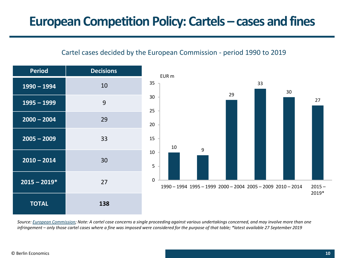#### Cartel cases decided by the European Commission - period 1990 to 2019



Source: [European Commission;](https://ec.europa.eu/competition/cartels/statistics/statistics.pdf) Note: A cartel case concerns a single proceeding against various undertakings concerned, and may involve more than one infringement – only those cartel cases where a fine was imposed were considered for the purpose of that table; \*latest available 27 September 2019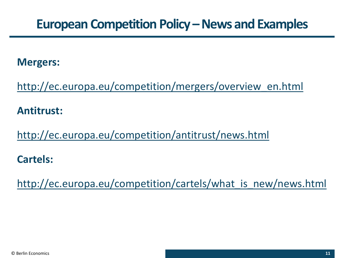### **European Competition Policy –News and Examples**

### **Mergers:**

[http://ec.europa.eu/competition/mergers/overview\\_en.html](http://ec.europa.eu/competition/mergers/overview_en.html)

### **Antitrust:**

<http://ec.europa.eu/competition/antitrust/news.html>

### **Cartels:**

http://ec.europa.eu/competition/cartels/what is new/news.html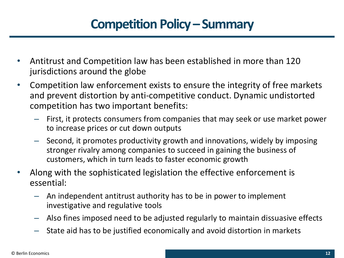# **Competition Policy – Summary**

- Antitrust and Competition law has been established in more than 120 jurisdictions around the globe
- Competition law enforcement exists to ensure the integrity of free markets and prevent distortion by anti-competitive conduct. Dynamic undistorted competition has two important benefits:
	- First, it protects consumers from companies that may seek or use market power to increase prices or cut down outputs
	- Second, it promotes productivity growth and innovations, widely by imposing stronger rivalry among companies to succeed in gaining the business of customers, which in turn leads to faster economic growth
- Along with the sophisticated legislation the effective enforcement is essential:
	- An independent antitrust authority has to be in power to implement investigative and regulative tools
	- Also fines imposed need to be adjusted regularly to maintain dissuasive effects
	- State aid has to be justified economically and avoid distortion in markets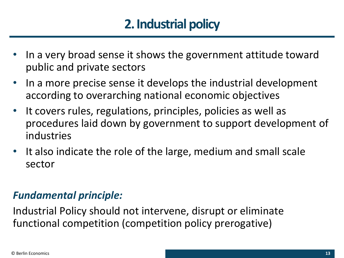# **2. Industrial policy**

- In a very broad sense it shows the government attitude toward public and private sectors
- In a more precise sense it develops the industrial development according to overarching national economic objectives
- It covers rules, regulations, principles, policies as well as procedures laid down by government to support development of industries
- It also indicate the role of the large, medium and small scale sector

### *Fundamental principle:*

Industrial Policy should not intervene, disrupt or eliminate functional competition (competition policy prerogative)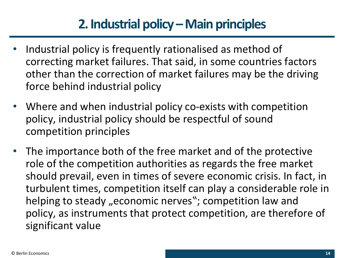# **2. Industrial policy –Main principles**

- Industrial policy is frequently rationalised as method of correcting market failures. That said, in some countries factors other than the correction of market failures may be the driving force behind industrial policy
- Where and when industrial policy co-exists with competition policy, industrial policy should be respectful of sound competition principles
- The importance both of the free market and of the protective role of the competition authorities as regards the free market should prevail, even in times of severe economic crisis. In fact, in turbulent times, competition itself can play a considerable role in helping to steady "economic nerves"; competition law and policy, as instruments that protect competition, are therefore of significant value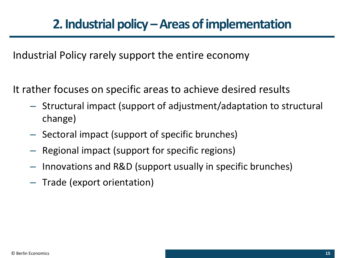Industrial Policy rarely support the entire economy

It rather focuses on specific areas to achieve desired results

- Structural impact (support of adjustment/adaptation to structural change)
- Sectoral impact (support of specific brunches)
- Regional impact (support for specific regions)
- Innovations and R&D (support usually in specific brunches)
- Trade (export orientation)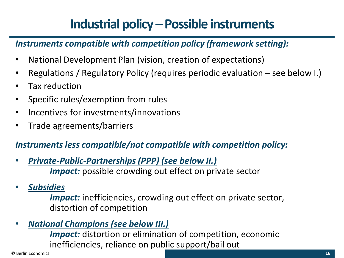# **Industrial policy –Possible instruments**

### *Instruments compatible with competition policy (framework setting):*

- National Development Plan (vision, creation of expectations)
- Regulations / Regulatory Policy (requires periodic evaluation see below I.)
- Tax reduction
- Specific rules/exemption from rules
- Incentives for investments/innovations
- Trade agreements/barriers

### *Instruments less compatible/not compatible with competition policy:*

- *Private-Public-Partnerships (PPP) (see below II.) Impact:* possible crowding out effect on private sector
- *Subsidies*

*Impact:* inefficiencies, crowding out effect on private sector, distortion of competition

• *National Champions (see below III.)*

*Impact:* distortion or elimination of competition, economic inefficiencies, reliance on public support/bail out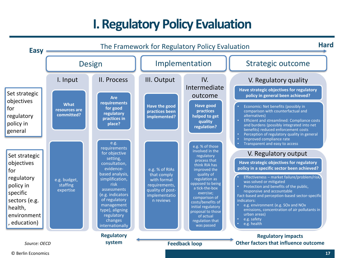# **I. Regulatory Policy Evaluation**



© Berlin Economics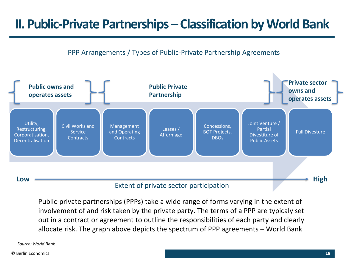## **II. Public-Private Partnerships –Classification by World Bank**

#### PPP Arrangements / Types of Public-Private Partnership Agreements



Public-private partnerships (PPPs) take a wide range of forms varying in the extent of involvement of and risk taken by the private party. The terms of a PPP are typicaly set out in a contract or agreement to outline the responsibilities of each party and clearly allocate risk. The graph above depicts the spectrum of PPP agreements – World Bank

*Source: World Bank* 

© Berlin Economics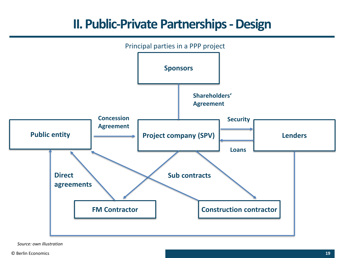### **II. Public-Private Partnerships -Design**



*Source: own illustration*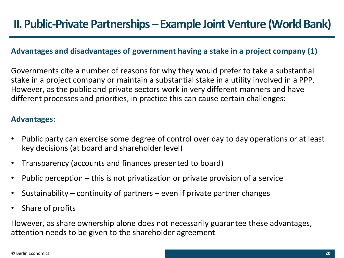#### **Advantages and disadvantages of government having a stake in a project company (1)**

Governments cite a number of reasons for why they would prefer to take a substantial stake in a project company or maintain a substantial stake in a utility involved in a PPP. However, as the public and private sectors work in very different manners and have different processes and priorities, in practice this can cause certain challenges:

#### **Advantages:**

- Public party can exercise some degree of control over day to day operations or at least key decisions (at board and shareholder level)
- Transparency (accounts and finances presented to board)
- Public perception this is not privatization or private provision of a service
- Sustainability continuity of partners even if private partner changes
- Share of profits

However, as share ownership alone does not necessarily guarantee these advantages, attention needs to be given to the shareholder agreement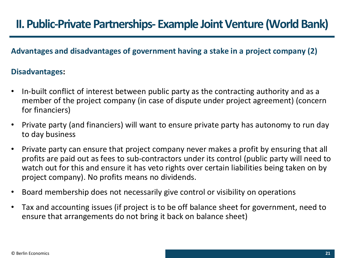#### **Advantages and disadvantages of government having a stake in a project company (2)**

#### **Disadvantages:**

- In-built conflict of interest between public party as the contracting authority and as a member of the project company (in case of dispute under project agreement) (concern for financiers)
- Private party (and financiers) will want to ensure private party has autonomy to run day to day business
- Private party can ensure that project company never makes a profit by ensuring that all profits are paid out as fees to sub-contractors under its control (public party will need to watch out for this and ensure it has veto rights over certain liabilities being taken on by project company). No profits means no dividends.
- Board membership does not necessarily give control or visibility on operations
- Tax and accounting issues (if project is to be off balance sheet for government, need to ensure that arrangements do not bring it back on balance sheet)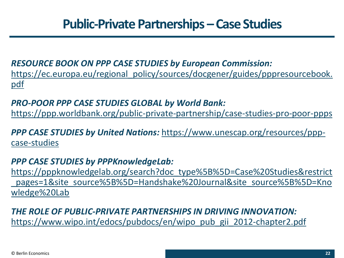### **Public-Private Partnerships –Case Studies**

### *RESOURCE BOOK ON PPP CASE STUDIES by European Commission:*

[https://ec.europa.eu/regional\\_policy/sources/docgener/guides/pppresourcebook.](https://ec.europa.eu/regional_policy/sources/docgener/guides/pppresourcebook.pdf) pdf

### *PRO-POOR PPP CASE STUDIES GLOBAL by World Bank:*

<https://ppp.worldbank.org/public-private-partnership/case-studies-pro-poor-ppps>

*PPP CASE STUDIES by United Nations:* [https://www.unescap.org/resources/ppp](https://www.unescap.org/resources/ppp-case-studies)case-studies

### *PPP CASE STUDIES by PPPKnowledgeLab:*

https://pppknowledgelab.org/search?doc\_type%5B%5D=Case%20Studies&restrict pages=1&site\_source%5B%5D=Handshake%20Journal&site\_source%5B%5D=Kno wledge%20Lab

### *THE ROLE OF PUBLIC-PRIVATE PARTNERSHIPS IN DRIVING INNOVATION:*  [https://www.wipo.int/edocs/pubdocs/en/wipo\\_pub\\_gii\\_2012-chapter2.pdf](https://www.wipo.int/edocs/pubdocs/en/wipo_pub_gii_2012-chapter2.pdf)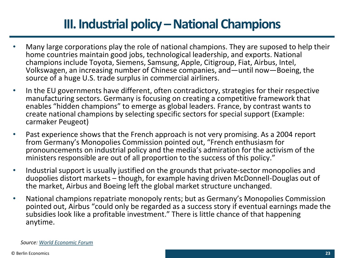# **III. Industrial policy –National Champions**

- Many large corporations play the role of national champions. They are suposed to help their home countries maintain good jobs, technological leadership, and exports. National champions include Toyota, Siemens, Samsung, Apple, Citigroup, Fiat, Airbus, Intel, Volkswagen, an increasing number of Chinese companies, and—until now—Boeing, the source of a huge U.S. trade surplus in commercial airliners.
- In the EU governments have different, often contradictory, strategies for their respective manufacturing sectors. Germany is focusing on creating a competitive framework that enables "hidden champions" to emerge as global leaders. France, by contrast wants to create national champions by selecting specific sectors for special support (Example: carmaker Peugeot)
- Past experience shows that the French approach is not very promising. As a 2004 report from Germany's Monopolies Commission pointed out, "French enthusiasm for pronouncements on industrial policy and the media's admiration for the activism of the ministers responsible are out of all proportion to the success of this policy."
- Industrial support is usually justified on the grounds that private-sector monopolies and duopolies distort markets – though, for example having driven McDonnell-Douglas out of the market, Airbus and Boeing left the global market structure unchanged.
- National champions repatriate monopoly rents; but as Germany's Monopolies Commission pointed out, Airbus "could only be regarded as a success story if eventual earnings made the subsidies look like a profitable investment." There is little chance of that happening anytime.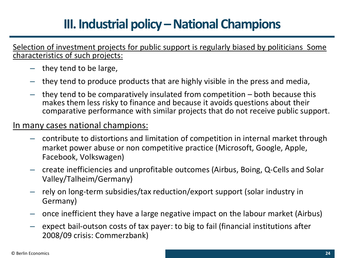# **III. Industrial policy –National Champions**

Selection of investment projects for public support is regularly biased by politicians Some characteristics of such projects:

- they tend to be large,
- they tend to produce products that are highly visible in the press and media,
- they tend to be comparatively insulated from competition both because this makes them less risky to finance and because it avoids questions about their comparative performance with similar projects that do not receive public support.

#### In many cases national champions:

- contribute to distortions and limitation of competition in internal market through market power abuse or non competitive practice (Microsoft, Google, Apple, Facebook, Volkswagen)
- create inefficiencies and unprofitable outcomes (Airbus, Boing, Q-Cells and Solar Valley/Talheim/Germany)
- rely on long-term subsidies/tax reduction/export support (solar industry in Germany)
- once inefficient they have a large negative impact on the labour market (Airbus)
- expect bail-outson costs of tax payer: to big to fail (financial institutions after 2008/09 crisis: Commerzbank)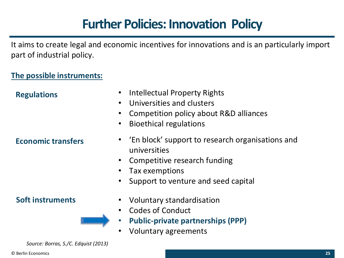# **Further Policies: Innovation Policy**

It aims to create legal and economic incentives for innovations and is an particularly import part of industrial policy.

#### **The possible instruments:**

| $\bullet$<br><b>Regulations</b><br>$\bullet$<br>$\bullet$<br>$\bullet$ | <b>Intellectual Property Rights</b><br>Universities and clusters<br>Competition policy about R&D alliances<br><b>Bioethical regulations</b>                 |
|------------------------------------------------------------------------|-------------------------------------------------------------------------------------------------------------------------------------------------------------|
| <b>Economic transfers</b><br>$\bullet$<br>$\bullet$                    | • 'En block' support to research organisations and<br>universities<br>Competitive research funding<br>Tax exemptions<br>Support to venture and seed capital |
| <b>Soft instruments</b><br>$\bullet$                                   | Voluntary standardisation<br><b>Codes of Conduct</b><br><b>Public-private partnerships (PPP)</b>                                                            |

• Voluntary agreements

*Source: Borras, S./C. Edquist (2013)*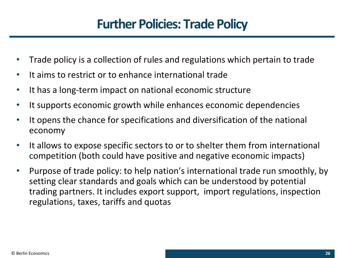# **Further Policies: Trade Policy**

- Trade policy is a collection of rules and regulations which pertain to trade
- It aims to restrict or to enhance international trade
- It has a long-term impact on national economic structure
- It supports economic growth while enhances economic dependencies
- It opens the chance for specifications and diversification of the national economy
- It allows to expose specific sectors to or to shelter them from international competition (both could have positive and negative economic impacts)
- Purpose of trade policy: to help nation's international trade run smoothly, by setting clear standards and goals which can be understood by potential trading partners. It includes export support, import regulations, inspection regulations, taxes, tariffs and quotas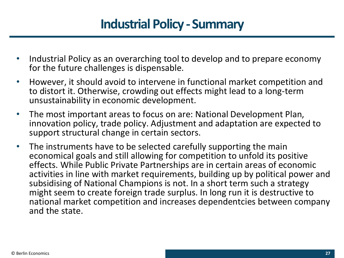# **Industrial Policy - Summary**

- Industrial Policy as an overarching tool to develop and to prepare economy for the future challenges is dispensable.
- However, it should avoid to intervene in functional market competition and to distort it. Otherwise, crowding out effects might lead to a long-term unsustainability in economic development.
- The most important areas to focus on are: National Development Plan, innovation policy, trade policy. Adjustment and adaptation are expected to support structural change in certain sectors.
- The instruments have to be selected carefully supporting the main economical goals and still allowing for competition to unfold its positive effects. While Public Private Partnerships are in certain areas of economic activities in line with market requirements, building up by political power and subsidising of National Champions is not. In a short term such a strategy might seem to create foreign trade surplus. In long run it is destructive to national market competition and increases dependentcies between company and the state.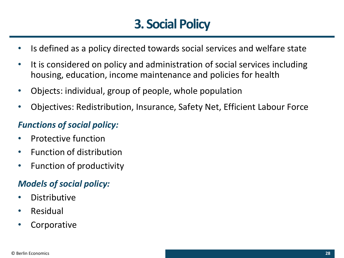# **3. Social Policy**

- Is defined as a policy directed towards social services and welfare state
- It is considered on policy and administration of social services including housing, education, income maintenance and policies for health
- Objects: individual, group of people, whole population
- Objectives: Redistribution, Insurance, Safety Net, Efficient Labour Force

### *Functions of social policy:*

- Protective function
- Function of distribution
- Function of productivity

### *Models of social policy:*

- Distributive
- **Residual**
- **Corporative**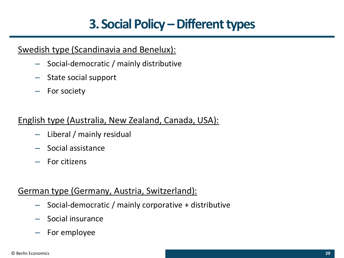# **3. Social Policy –Different types**

### Swedish type (Scandinavia and Benelux):

- Social-democratic / mainly distributive
- State social support
- For society

### English type (Australia, New Zealand, Canada, USA):

- Liberal / mainly residual
- Social assistance
- For citizens

#### German type (Germany, Austria, Switzerland):

- Social-democratic / mainly corporative + distributive
- Social insurance
- For employee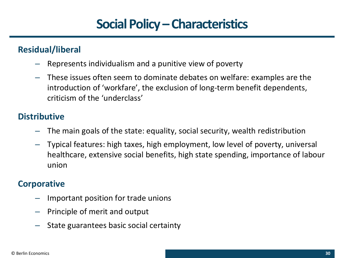# **Social Policy –Characteristics**

### **Residual/liberal**

- Represents individualism and a punitive view of poverty
- These issues often seem to dominate debates on welfare: examples are the introduction of 'workfare', the exclusion of long-term benefit dependents, criticism of the 'underclass'

### **Distributive**

- The main goals of the state: equality, social security, wealth redistribution
- Typical features: high taxes, high employment, low level of poverty, universal healthcare, extensive social benefits, high state spending, importance of labour union

### **Corporative**

- Important position for trade unions
- Principle of merit and output
- State guarantees basic social certainty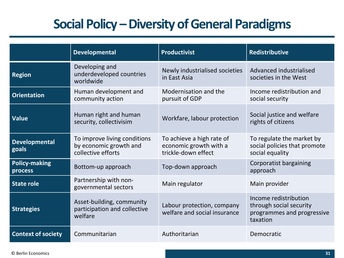# **Social Policy –Diversity of General Paradigms**

|                                 | <b>Developmental</b>                                                         | <b>Productivist</b>                                                        | <b>Redistributive</b>                                                                      |
|---------------------------------|------------------------------------------------------------------------------|----------------------------------------------------------------------------|--------------------------------------------------------------------------------------------|
| <b>Region</b>                   | Developing and<br>underdeveloped countries<br>worldwide                      | Newly industrialised societies<br>in East Asia                             | Advanced industrialised<br>societies in the West                                           |
| <b>Orientation</b>              | Human development and<br>community action                                    | Modernisation and the<br>pursuit of GDP                                    | Income redistribution and<br>social security                                               |
| <b>Value</b>                    | Human right and human<br>security, collectivisim                             | Workfare, labour protection                                                | Social justice and welfare<br>rights of citizens                                           |
| <b>Developmental</b><br>goals   | To improve living conditions<br>by economic growth and<br>collective efforts | To achieve a high rate of<br>economic growth with a<br>trickle-down effect | To regulate the market by<br>social policies that promote<br>social equality               |
| <b>Policy-making</b><br>process | Bottom-up approach                                                           | Top-down approach                                                          | Corporatist bargaining<br>approach                                                         |
| <b>State role</b>               | Partnership with non-<br>governmental sectors                                | Main regulator                                                             | Main provider                                                                              |
| <b>Strategies</b>               | Asset-building, community<br>participation and collective<br>welfare         | Labour protection, company<br>welfare and social insurance                 | Income redistribution<br>through social security<br>programmes and progressive<br>taxation |
| <b>Context of society</b>       | Communitarian                                                                | Authoritarian                                                              | Democratic                                                                                 |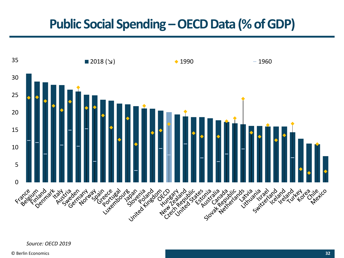# **Public Social Spending –OECD Data (% of GDP)**



*Source: OECD 2019*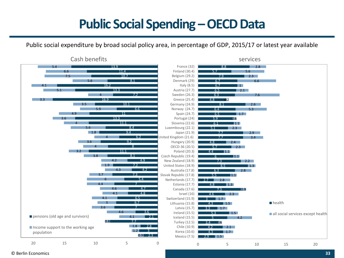# **Public Social Spending –OECD Data**

Public social expenditure by broad social policy area, in percentage of GDP, 2015/17 or latest year available



#### © Berlin Economics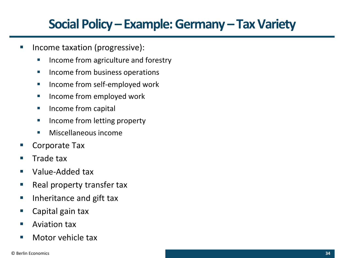# **Social Policy – Example: Germany – Tax Variety**

- **·** Income taxation (progressive):
	- Income from agriculture and forestry
	- Income from business operations
	- Income from self-employed work
	- Income from employed work
	- Income from capital
	- Income from letting property
	- Miscellaneous income
- Corporate Tax
- Trade tax
- Value-Added tax
- Real property transfer tax
- Inheritance and gift tax
- Capital gain tax
- Aviation tax
- Motor vehicle tax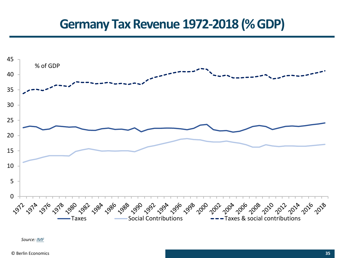### **Germany Tax Revenue 1972-2018 (% GDP)**



*Source: [IMF](https://data.imf.org/?sk=90a23638-c923-44c9-9be4-fb6b62cd9b7a&hide_uv=1)*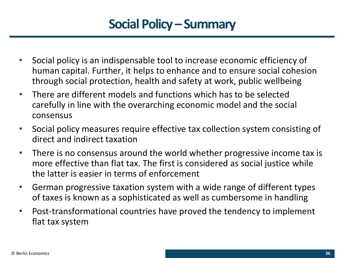# **Social Policy – Summary**

- Social policy is an indispensable tool to increase economic efficiency of human capital. Further, it helps to enhance and to ensure social cohesion through social protection, health and safety at work, public wellbeing
- There are different models and functions which has to be selected carefully in line with the overarching economic model and the social consensus
- Social policy measures require effective tax collection system consisting of direct and indirect taxation
- There is no consensus around the world whether progressive income tax is more effective than flat tax. The first is considered as social justice while the latter is easier in terms of enforcement
- German progressive taxation system with a wide range of different types of taxes is known as a sophisticated as well as cumbersome in handling
- Post-transformational countries have proved the tendency to implement flat tax system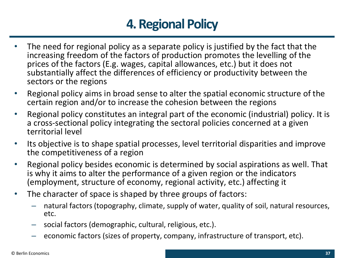# **4. Regional Policy**

- The need for regional policy as a separate policy is justified by the fact that the increasing freedom of the factors of production promotes the levelling of the prices of the factors (E.g. wages, capital allowances, etc.) but it does not substantially affect the differences of efficiency or productivity between the sectors or the regions
- Regional policy aims in broad sense to alter the spatial economic structure of the certain region and/or to increase the cohesion between the regions
- Regional policy constitutes an integral part of the economic (industrial) policy. It is a cross-sectional policy integrating the sectoral policies concerned at a given territorial level
- Its objective is to shape spatial processes, level territorial disparities and improve the competitiveness of a region
- Regional policy besides economic is determined by social aspirations as well. That is why it aims to alter the performance of a given region or the indicators (employment, structure of economy, regional activity, etc.) affecting it
- The character of space is shaped by three groups of factors:
	- natural factors (topography, climate, supply of water, quality of soil, natural resources, etc.
	- social factors (demographic, cultural, religious, etc.).
	- economic factors (sizes of property, company, infrastructure of transport, etc).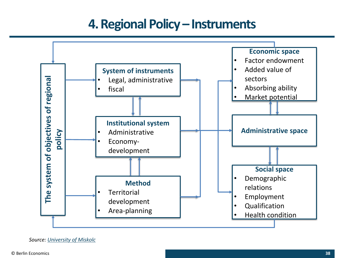### **4. Regional Policy – Instruments**

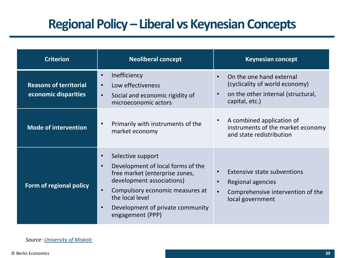# **Regional Policy – Liberal vs Keynesian Concepts**

| <b>Criterion</b>                                      | <b>Neoliberal concept</b>                                                                                                                                                                                                                                                               | <b>Keynesian concept</b>                                                                                           |
|-------------------------------------------------------|-----------------------------------------------------------------------------------------------------------------------------------------------------------------------------------------------------------------------------------------------------------------------------------------|--------------------------------------------------------------------------------------------------------------------|
| <b>Reasons of territorial</b><br>economic disparities | Inefficiency<br>$\bullet$<br>Low effectiveness<br>$\bullet$<br>Social and economic rigidity of<br>$\bullet$<br>microeconomic actors                                                                                                                                                     | On the one hand external<br>(cyclicality of world economy)<br>on the other internal (structural,<br>capital, etc.) |
| <b>Mode of intervention</b>                           | Primarily with instruments of the<br>$\bullet$<br>market economy                                                                                                                                                                                                                        | A combined application of<br>instruments of the market economy<br>and state redistribution                         |
| Form of regional policy                               | Selective support<br>$\bullet$<br>Development of local forms of the<br>$\bullet$<br>free market (enterprise zones,<br>development associations)<br>Compulsory economic measures at<br>$\bullet$<br>the local level<br>Development of private community<br>$\bullet$<br>engagement (PPP) | <b>Extensive state subventions</b><br>Regional agencies<br>Comprehensive intervention of the<br>local government   |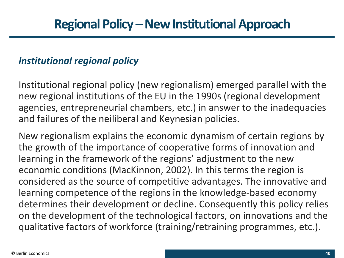### *Institutional regional policy*

Institutional regional policy (new regionalism) emerged parallel with the new regional institutions of the EU in the 1990s (regional development agencies, entrepreneurial chambers, etc.) in answer to the inadequacies and failures of the neiliberal and Keynesian policies.

New regionalism explains the economic dynamism of certain regions by the growth of the importance of cooperative forms of innovation and learning in the framework of the regions' adjustment to the new economic conditions (MacKinnon, 2002). In this terms the region is considered as the source of competitive advantages. The innovative and learning competence of the regions in the knowledge-based economy determines their development or decline. Consequently this policy relies on the development of the technological factors, on innovations and the qualitative factors of workforce (training/retraining programmes, etc.).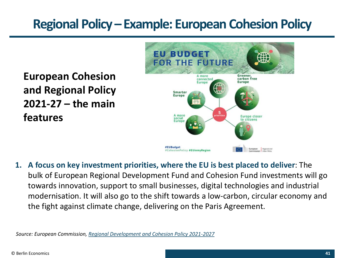**European Cohesion and Regional Policy 2021-27 – the main features**



**1. A focus on key investment priorities, where the EU is best placed to deliver**: The bulk of European Regional Development Fund and Cohesion Fund investments will go towards innovation, support to small businesses, digital technologies and industrial modernisation. It will also go to the shift towards a low-carbon, circular economy and the fight against climate change, delivering on the Paris Agreement.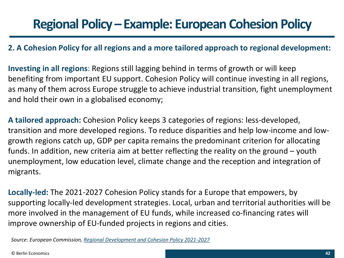#### **2. A Cohesion Policy for all regions and a more tailored approach to regional development:**

**Investing in all regions**: Regions still lagging behind in terms of growth or will keep benefiting from important EU support. Cohesion Policy will continue investing in all regions, as many of them across Europe struggle to achieve industrial transition, fight unemployment and hold their own in a globalised economy;

**A tailored approach:** Cohesion Policy keeps 3 categories of regions: less-developed, transition and more developed regions. To reduce disparities and help low-income and lowgrowth regions catch up, GDP per capita remains the predominant criterion for allocating funds. In addition, new criteria aim at better reflecting the reality on the ground – youth unemployment, low education level, climate change and the reception and integration of migrants.

**Locally-led:** The 2021-2027 Cohesion Policy stands for a Europe that empowers, by supporting locally-led development strategies. Local, urban and territorial authorities will be more involved in the management of EU funds, while increased co-financing rates will improve ownership of EU-funded projects in regions and cities.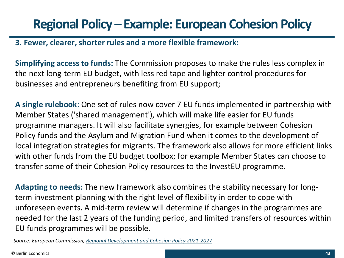#### **3. Fewer, clearer, shorter rules and a more flexible framework:**

**Simplifying access to funds:** The Commission proposes to make the rules less complex in the next long-term EU budget, with less red tape and lighter control procedures for businesses and entrepreneurs benefiting from EU support;

**A single rulebook**: One set of rules now cover 7 EU funds implemented in partnership with Member States ('shared management'), which will make life easier for EU funds programme managers. It will also facilitate synergies, for example between Cohesion Policy funds and the Asylum and Migration Fund when it comes to the development of local integration strategies for migrants. The framework also allows for more efficient links with other funds from the EU budget toolbox; for example Member States can choose to transfer some of their Cohesion Policy resources to the InvestEU programme.

**Adapting to needs:** The new framework also combines the stability necessary for longterm investment planning with the right level of flexibility in order to cope with unforeseen events. A mid-term review will determine if changes in the programmes are needed for the last 2 years of the funding period, and limited transfers of resources within EU funds programmes will be possible.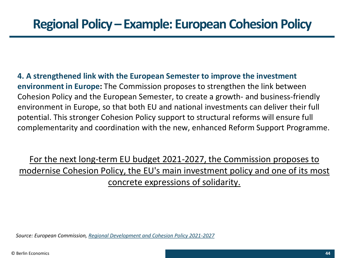**4. A strengthened link with the European Semester to improve the investment environment in Europe:** The Commission proposes to strengthen the link between Cohesion Policy and the European Semester, to create a growth- and business-friendly environment in Europe, so that both EU and national investments can deliver their full potential. This stronger Cohesion Policy support to structural reforms will ensure full complementarity and coordination with the new, enhanced Reform Support Programme.

For the next long-term EU budget 2021-2027, the Commission proposes to modernise Cohesion Policy, the EU's main investment policy and one of its most concrete expressions of solidarity.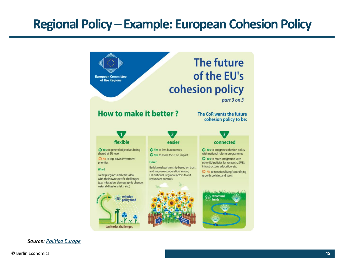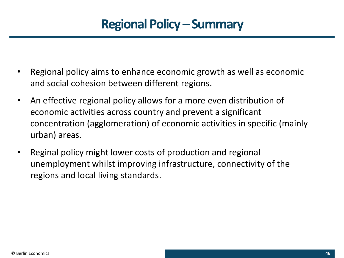# **Regional Policy – Summary**

- Regional policy aims to enhance economic growth as well as economic and social cohesion between different regions.
- An effective regional policy allows for a more even distribution of economic activities across country and prevent a significant concentration (agglomeration) of economic activities in specific (mainly urban) areas.
- Reginal policy might lower costs of production and regional unemployment whilst improving infrastructure, connectivity of the regions and local living standards.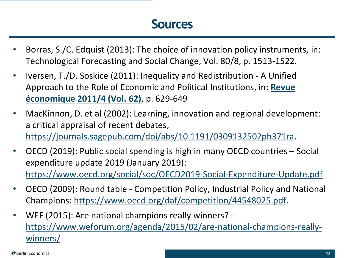### **Sources**

- Borras, S./C. Edquist (2013): The choice of innovation policy instruments, in: Technological Forecasting and Social Change, Vol. 80/8, p. 1513-1522.
- Iversen, T./D. Soskice (2011): Inequality and Redistribution A Unified Approach to the Role of Economic and [Political Institutions, in:](https://www.cairn.info/revue-economique.htm) **Revue économique [2011/4 \(Vol. 62\)](https://www.cairn.info/revue-economique-2011-4.htm)**, p. 629-649
- MacKinnon, D. et al (2002): Learning, innovation and regional development: a critical appraisal of recent debates, <https://journals.sagepub.com/doi/abs/10.1191/0309132502ph371ra>.
- OECD (2019): Public social spending is high in many OECD countries Social expenditure update 2019 (January 2019): <https://www.oecd.org/social/soc/OECD2019-Social-Expenditure-Update.pdf>
- OECD (2009): Round table Competition Policy, Industrial Policy and National Champions: [https://www.oecd.org/daf/competition/44548025.pdf.](https://www.oecd.org/daf/competition/44548025.pdf)
- WEF (2015): Are national champions really winners? [https://www.weforum.org/agenda/2015/02/are-national-champions-really](https://www.weforum.org/agenda/2015/02/are-national-champions-really-winners/)winners/